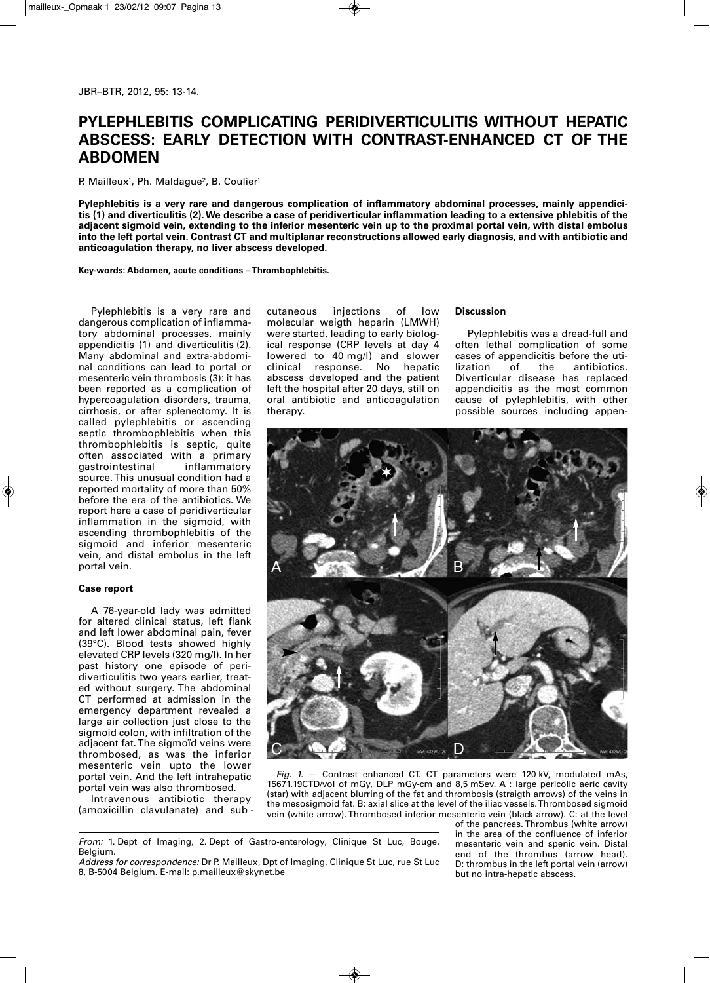# **PYLEPHLEBITIS COMPLICATING PERIDIVERTICULITIS WITHOUT HEPATIC ABSCESS: EARLY DETECTION WITH CONTRAST-ENHANCED CT OF THE ABDOMEN**

P. Mailleux<sup>1</sup>, Ph. Maldague<sup>2</sup>, B. Coulier<sup>1</sup>

**Pylephlebitis is a very rare and dangerous complication of inflammatory abdominal processes, mainly appendicitis (1) and diverticulitis (2). We describe a case of peridiverticular inflammation leading to a extensive phlebitis of the adjacent sigmoid vein, extending to the inferior mesenteric vein up to the proximal portal vein, with distal embolus into the left portal vein. Contrast CT and multiplanar reconstructions allowed early diagnosis, and with antibiotic and anticoagulation therapy, no liver abscess developed.**

**Key-words: Abdomen, acute conditions – Thrombophlebitis.**

Pylephlebitis is a very rare and dangerous complication of inflammatory abdominal processes, mainly appendicitis (1) and diverticulitis (2). Many abdominal and extra-abdominal conditions can lead to portal or mesenteric vein thrombosis (3): it has been reported as a complication of hypercoagulation disorders, trauma, cirrhosis, or after splenectomy. It is called pylephlebitis or ascending septic thrombophlebitis when this thrombophlebitis is septic, quite often associated with a primary<br>gastrointestinal inflammatory gastro intestinal source. This unusual condition had a reported mortality of more than 50% before the era of the antibiotics. We report here a case of peridiverticular inflammation in the sigmoid, with ascending thrombophlebitis of the sigmoid and inferior mesenteric vein, and distal embolus in the left portal vein.

## **Case report**

A 76-year-old lady was admitted for altered clinical status, left flank and left lower abdominal pain, fever (39°C). Blood tests showed highly elevated CRP levels (320 mg/l). In her past history one episode of peridiverticulitis two years earlier, treated without surgery. The abdominal CT performed at admission in the emergency department revealed a large air collection just close to the sigmoid colon, with infiltration of the adjacent fat. The sigmoïd veins were thrombosed, as was the inferior mesenteric vein upto the lower portal vein. And the left intrahepatic portal vein was also thrombosed.

Intravenous antibiotic therapy (amoxicillin clavulanate) and sub - cutaneous injections of low molecular weigth heparin (LMWH) were started, leading to early biological response (CRP levels at day 4 lowered to 40 mg/l) and slower<br>clinical response. No hepatic response. No hepatic abscess developed and the patient left the hospital after 20 days, still on oral antibiotic and anticoagulation therapy.

# **Discussion**

Pylephlebitis was a dread-full and often lethal complication of some cases of appendicitis before the uti-<br>lization of the antibiotics. antibiotics. Diverticular disease has replaced appendicitis as the most common cause of pylephlebitis, with other possible sources including appen-



*Fig. 1.* — Contrast enhanced CT. CT parameters were 120 kV, modulated mAs, 15671.19CTD/vol of mGy, DLP mGy-cm and 8,5 mSev. A : large pericolic aeric cavity (star) with adjacent blurring of the fat and thrombosis (straigth arrows) of the veins in the mesosigmoid fat. B: axial slice at the level of the iliac vessels. Thrombosed sigmoid vein (white arrow). Thrombosed inferior mesenteric vein (black arrow). C: at the level

*From:* 1. Dept of Imaging, 2. Dept of Gastro-enterology, Clinique St Luc, Bouge, Belgium.

of the pancreas. Thrombus (white arrow) in the area of the confluence of inferior mesenteric vein and spenic vein. Distal end of the thrombus (arrow head). D: thrombus in the left portal vein (arrow) but no intra-hepatic abscess.

*Address for correspondence:* Dr P. Mailleux, Dpt of Imaging, Clinique St Luc, rue St Luc 8, B-5004 Belgium. E-mail: p.mailleux@skynet.be